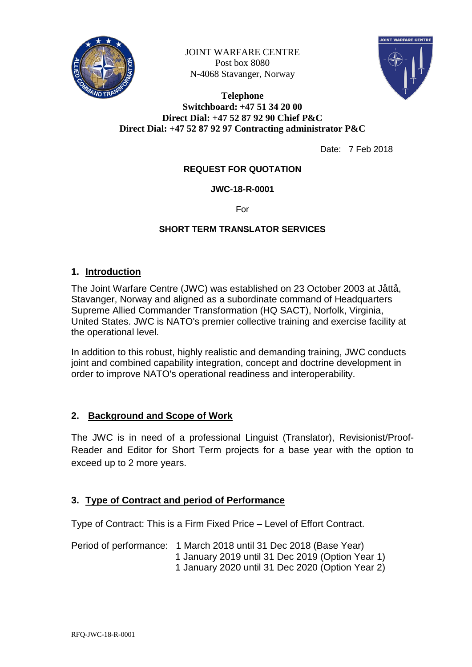

JOINT WARFARE CENTRE Post box 8080 N-4068 Stavanger, Norway



### **Telephone Switchboard: +47 51 34 20 00 Direct Dial: +47 52 87 92 90 Chief P&C Direct Dial: +47 52 87 92 97 Contracting administrator P&C**

Date: 7 Feb 2018

### **REQUEST FOR QUOTATION**

### **JWC-18-R-0001**

For

### **SHORT TERM TRANSLATOR SERVICES**

### **1. Introduction**

The Joint Warfare Centre (JWC) was established on 23 October 2003 at Jåttå, Stavanger, Norway and aligned as a subordinate command of Headquarters Supreme Allied Commander Transformation (HQ SACT), Norfolk, Virginia, United States. JWC is NATO's premier collective training and exercise facility at the operational level.

In addition to this robust, highly realistic and demanding training, JWC conducts joint and combined capability integration, concept and doctrine development in order to improve NATO's operational readiness and interoperability.

## **2. Background and Scope of Work**

The JWC is in need of a professional Linguist (Translator), Revisionist/Proof-Reader and Editor for Short Term projects for a base year with the option to exceed up to 2 more years.

### **3. Type of Contract and period of Performance**

Type of Contract: This is a Firm Fixed Price – Level of Effort Contract.

Period of performance: 1 March 2018 until 31 Dec 2018 (Base Year) 1 January 2019 until 31 Dec 2019 (Option Year 1) 1 January 2020 until 31 Dec 2020 (Option Year 2)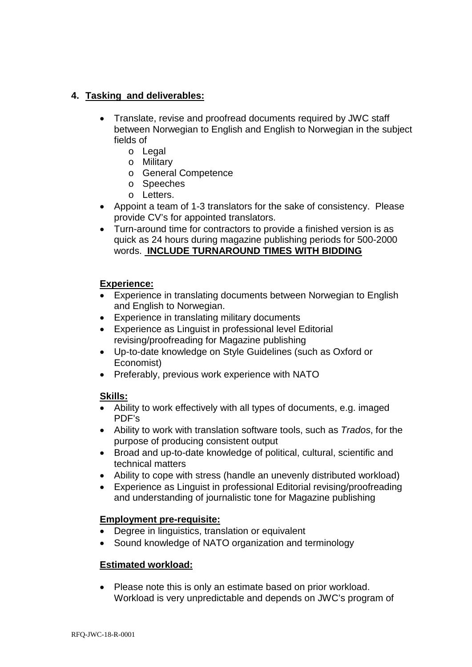## **4. Tasking and deliverables:**

- Translate, revise and proofread documents required by JWC staff between Norwegian to English and English to Norwegian in the subject fields of
	- o Legal
	- o Military
	- o General Competence
	- o Speeches
	- o Letters.
- Appoint a team of 1-3 translators for the sake of consistency. Please provide CV's for appointed translators.
- Turn-around time for contractors to provide a finished version is as quick as 24 hours during magazine publishing periods for 500-2000 words. **INCLUDE TURNAROUND TIMES WITH BIDDING**

## **Experience:**

- Experience in translating documents between Norwegian to English and English to Norwegian.
- Experience in translating military documents
- Experience as Linguist in professional level Editorial revising/proofreading for Magazine publishing
- Up-to-date knowledge on Style Guidelines (such as Oxford or Economist)
- Preferably, previous work experience with NATO

## **Skills:**

- Ability to work effectively with all types of documents, e.g. imaged PDF's
- Ability to work with translation software tools, such as *Trados*, for the purpose of producing consistent output
- Broad and up-to-date knowledge of political, cultural, scientific and technical matters
- Ability to cope with stress (handle an unevenly distributed workload)
- Experience as Linguist in professional Editorial revising/proofreading and understanding of journalistic tone for Magazine publishing

## **Employment pre-requisite:**

- Degree in linguistics, translation or equivalent
- Sound knowledge of NATO organization and terminology

## **Estimated workload:**

• Please note this is only an estimate based on prior workload. Workload is very unpredictable and depends on JWC's program of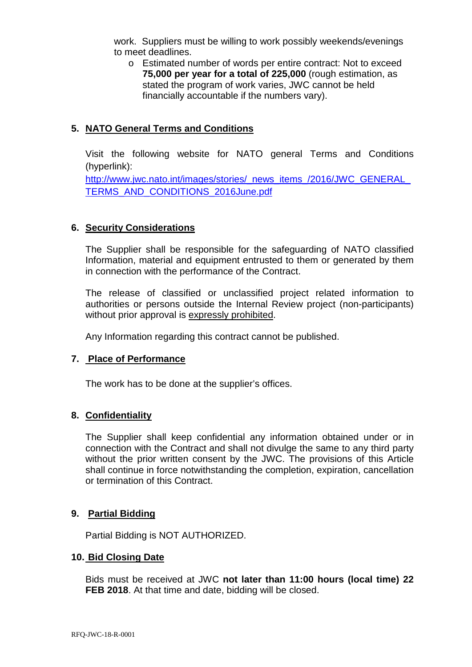work. Suppliers must be willing to work possibly weekends/evenings to meet deadlines.

o Estimated number of words per entire contract: Not to exceed **75,000 per year for a total of 225,000** (rough estimation, as stated the program of work varies, JWC cannot be held financially accountable if the numbers vary).

## **5. NATO General Terms and Conditions**

Visit the following website for NATO general Terms and Conditions (hyperlink):

http://www.jwc.nato.int/images/stories/\_news\_items\_/2016/JWC\_GENERAL [TERMS\\_AND\\_CONDITIONS\\_2016June.pdf](http://www.jwc.nato.int/images/stories/_news_items_/2016/JWC_GENERAL_TERMS_AND_CONDITIONS_2016June.pdf)

### **6. Security Considerations**

The Supplier shall be responsible for the safeguarding of NATO classified Information, material and equipment entrusted to them or generated by them in connection with the performance of the Contract.

The release of classified or unclassified project related information to authorities or persons outside the Internal Review project (non-participants) without prior approval is expressly prohibited.

Any Information regarding this contract cannot be published.

### **7. Place of Performance**

The work has to be done at the supplier's offices.

### **8. Confidentiality**

The Supplier shall keep confidential any information obtained under or in connection with the Contract and shall not divulge the same to any third party without the prior written consent by the JWC. The provisions of this Article shall continue in force notwithstanding the completion, expiration, cancellation or termination of this Contract.

### **9. Partial Bidding**

Partial Bidding is NOT AUTHORIZED.

#### **10. Bid Closing Date**

Bids must be received at JWC **not later than 11:00 hours (local time) 22 FEB 2018**. At that time and date, bidding will be closed.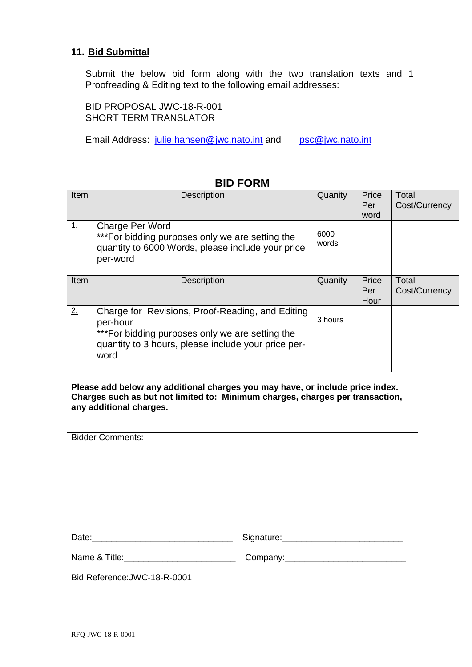### **11. Bid Submittal**

Submit the below bid form along with the two translation texts and 1 Proofreading & Editing text to the following email addresses:

BID PROPOSAL JWC-18-R-001 SHORT TERM TRANSLATOR

Email Address: [julie.hansen@jwc.nato.int](mailto:julie.hansen@jwc.nato.int) and [psc@jwc.nato.int](mailto:psc@jwc.nato.int)

| Item | <b>Description</b>                                                                                                                                                              | Quanity       | Price<br>Per<br>word | Total<br>Cost/Currency |
|------|---------------------------------------------------------------------------------------------------------------------------------------------------------------------------------|---------------|----------------------|------------------------|
| 1.   | Charge Per Word<br>*** For bidding purposes only we are setting the<br>quantity to 6000 Words, please include your price<br>per-word                                            | 6000<br>words |                      |                        |
| Item | <b>Description</b>                                                                                                                                                              | Quanity       | Price<br>Per<br>Hour | Total<br>Cost/Currency |
| 2.   | Charge for Revisions, Proof-Reading, and Editing<br>per-hour<br>*** For bidding purposes only we are setting the<br>quantity to 3 hours, please include your price per-<br>word | 3 hours       |                      |                        |

## **BID FORM**

**Please add below any additional charges you may have, or include price index. Charges such as but not limited to: Minimum charges, charges per transaction, any additional charges.**

| <b>Bidder Comments:</b>                                                                                                                                                                                                        |  |  |  |  |
|--------------------------------------------------------------------------------------------------------------------------------------------------------------------------------------------------------------------------------|--|--|--|--|
|                                                                                                                                                                                                                                |  |  |  |  |
|                                                                                                                                                                                                                                |  |  |  |  |
|                                                                                                                                                                                                                                |  |  |  |  |
|                                                                                                                                                                                                                                |  |  |  |  |
|                                                                                                                                                                                                                                |  |  |  |  |
|                                                                                                                                                                                                                                |  |  |  |  |
|                                                                                                                                                                                                                                |  |  |  |  |
| Date: National Contract of the Contract of the Contract of the Contract of the Contract of the Contract of the Contract of the Contract of the Contract of the Contract of the Contract of the Contract of the Contract of the |  |  |  |  |
|                                                                                                                                                                                                                                |  |  |  |  |
|                                                                                                                                                                                                                                |  |  |  |  |

Bid Reference:JWC-18-R-0001